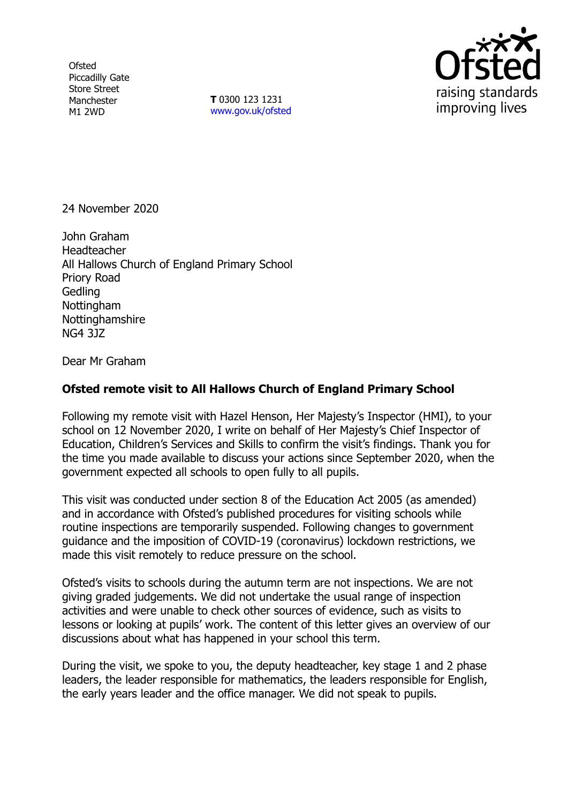**Ofsted** Piccadilly Gate Store Street Manchester M1 2WD

**T** 0300 123 1231 [www.gov.uk/ofsted](http://www.gov.uk/ofsted)



24 November 2020

John Graham Headteacher All Hallows Church of England Primary School Priory Road Gedling Nottingham **Nottinghamshire** NG4 3JZ

Dear Mr Graham

## **Ofsted remote visit to All Hallows Church of England Primary School**

Following my remote visit with Hazel Henson, Her Majesty's Inspector (HMI), to your school on 12 November 2020, I write on behalf of Her Majesty's Chief Inspector of Education, Children's Services and Skills to confirm the visit's findings. Thank you for the time you made available to discuss your actions since September 2020, when the government expected all schools to open fully to all pupils.

This visit was conducted under section 8 of the Education Act 2005 (as amended) and in accordance with Ofsted's published procedures for visiting schools while routine inspections are temporarily suspended. Following changes to government guidance and the imposition of COVID-19 (coronavirus) lockdown restrictions, we made this visit remotely to reduce pressure on the school.

Ofsted's visits to schools during the autumn term are not inspections. We are not giving graded judgements. We did not undertake the usual range of inspection activities and were unable to check other sources of evidence, such as visits to lessons or looking at pupils' work. The content of this letter gives an overview of our discussions about what has happened in your school this term.

During the visit, we spoke to you, the deputy headteacher, key stage 1 and 2 phase leaders, the leader responsible for mathematics, the leaders responsible for English, the early years leader and the office manager. We did not speak to pupils.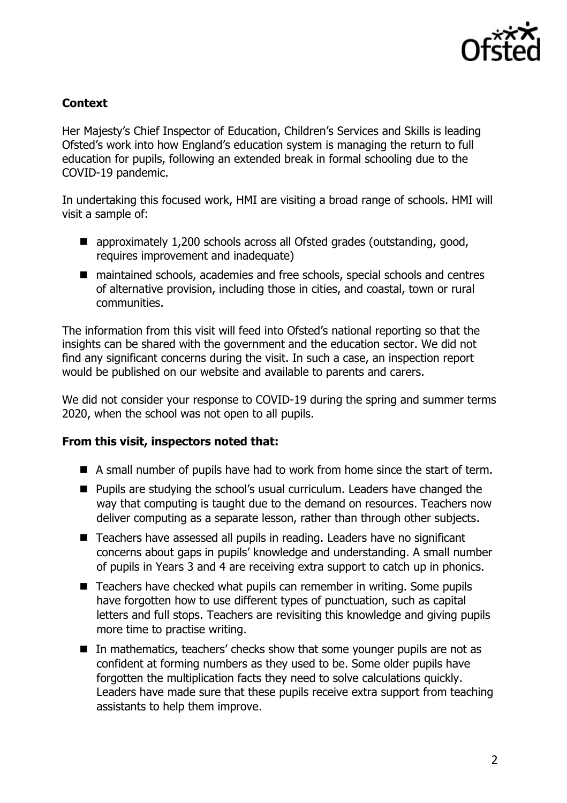

## **Context**

Her Majesty's Chief Inspector of Education, Children's Services and Skills is leading Ofsted's work into how England's education system is managing the return to full education for pupils, following an extended break in formal schooling due to the COVID-19 pandemic.

In undertaking this focused work, HMI are visiting a broad range of schools. HMI will visit a sample of:

- approximately 1,200 schools across all Ofsted grades (outstanding, good, requires improvement and inadequate)
- maintained schools, academies and free schools, special schools and centres of alternative provision, including those in cities, and coastal, town or rural communities.

The information from this visit will feed into Ofsted's national reporting so that the insights can be shared with the government and the education sector. We did not find any significant concerns during the visit. In such a case, an inspection report would be published on our website and available to parents and carers.

We did not consider your response to COVID-19 during the spring and summer terms 2020, when the school was not open to all pupils.

## **From this visit, inspectors noted that:**

- A small number of pupils have had to work from home since the start of term.
- **Pupils are studying the school's usual curriculum. Leaders have changed the** way that computing is taught due to the demand on resources. Teachers now deliver computing as a separate lesson, rather than through other subjects.
- Teachers have assessed all pupils in reading. Leaders have no significant concerns about gaps in pupils' knowledge and understanding. A small number of pupils in Years 3 and 4 are receiving extra support to catch up in phonics.
- $\blacksquare$  Teachers have checked what pupils can remember in writing. Some pupils have forgotten how to use different types of punctuation, such as capital letters and full stops. Teachers are revisiting this knowledge and giving pupils more time to practise writing.
- $\blacksquare$  In mathematics, teachers' checks show that some younger pupils are not as confident at forming numbers as they used to be. Some older pupils have forgotten the multiplication facts they need to solve calculations quickly. Leaders have made sure that these pupils receive extra support from teaching assistants to help them improve.